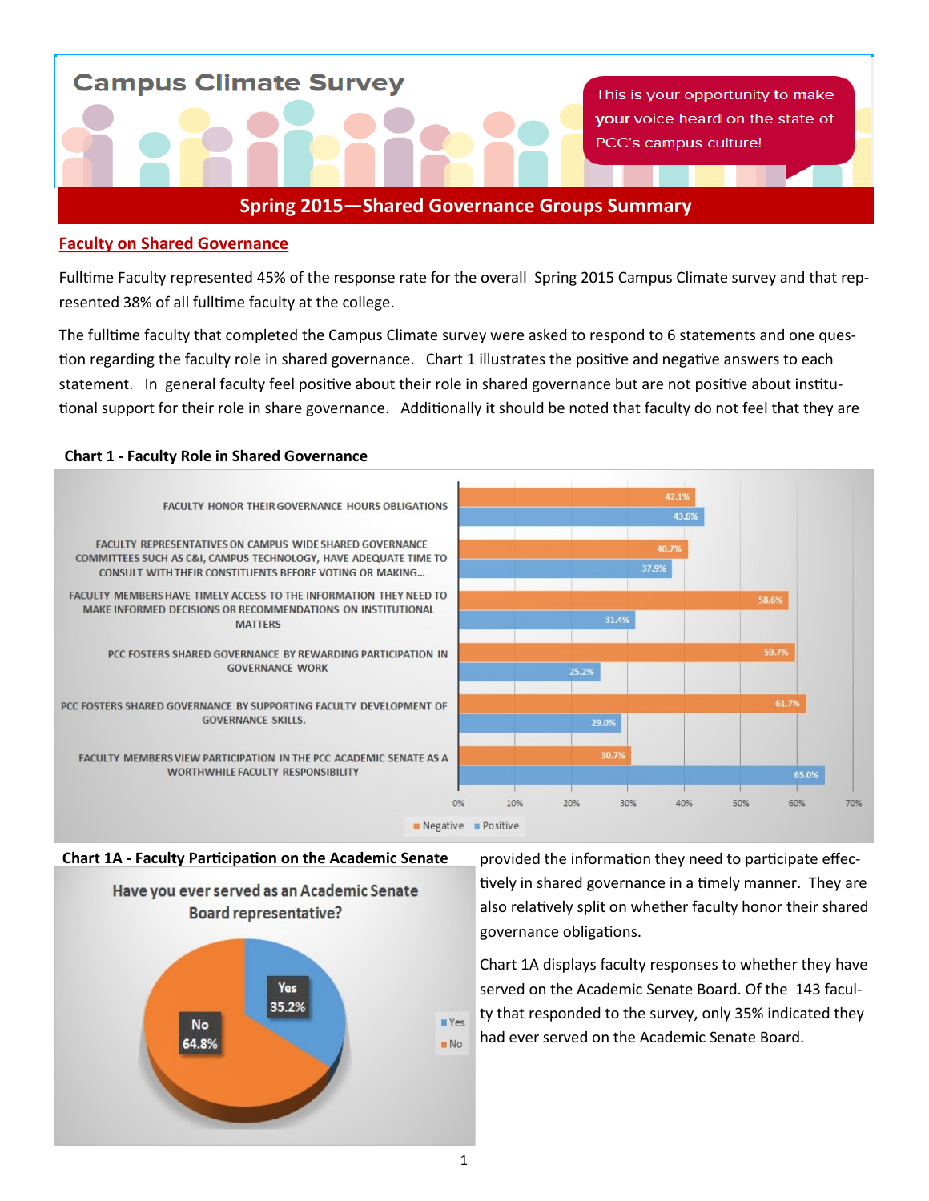**Campus Climate Survey** 

This is your opportunity to make your voice heard on the state of PCC's campus culture!

# **Spring 2015—Shared Governance Groups Summary**

### **Faculty on Shared Governance**

Fulltime Faculty represented 45% of the response rate for the overall Spring 2015 Campus Climate survey and that represented 38% of all fulltime faculty at the college.

The fulltime faculty that completed the Campus Climate survey were asked to respond to 6 statements and one question regarding the faculty role in shared governance. Chart 1 illustrates the positive and negative answers to each statement. In general faculty feel positive about their role in shared governance but are not positive about institutional support for their role in share governance. Additionally it should be noted that faculty do not feel that they are

### **Chart 1 - Faculty Role in Shared Governance**



#### **Chart 1A - Faculty Participation on the Academic Senate**



provided the information they need to participate effectively in shared governance in a timely manner. They are also relatively split on whether faculty honor their shared governance obligations.

Chart 1A displays faculty responses to whether they have served on the Academic Senate Board. Of the 143 faculty that responded to the survey, only 35% indicated they had ever served on the Academic Senate Board.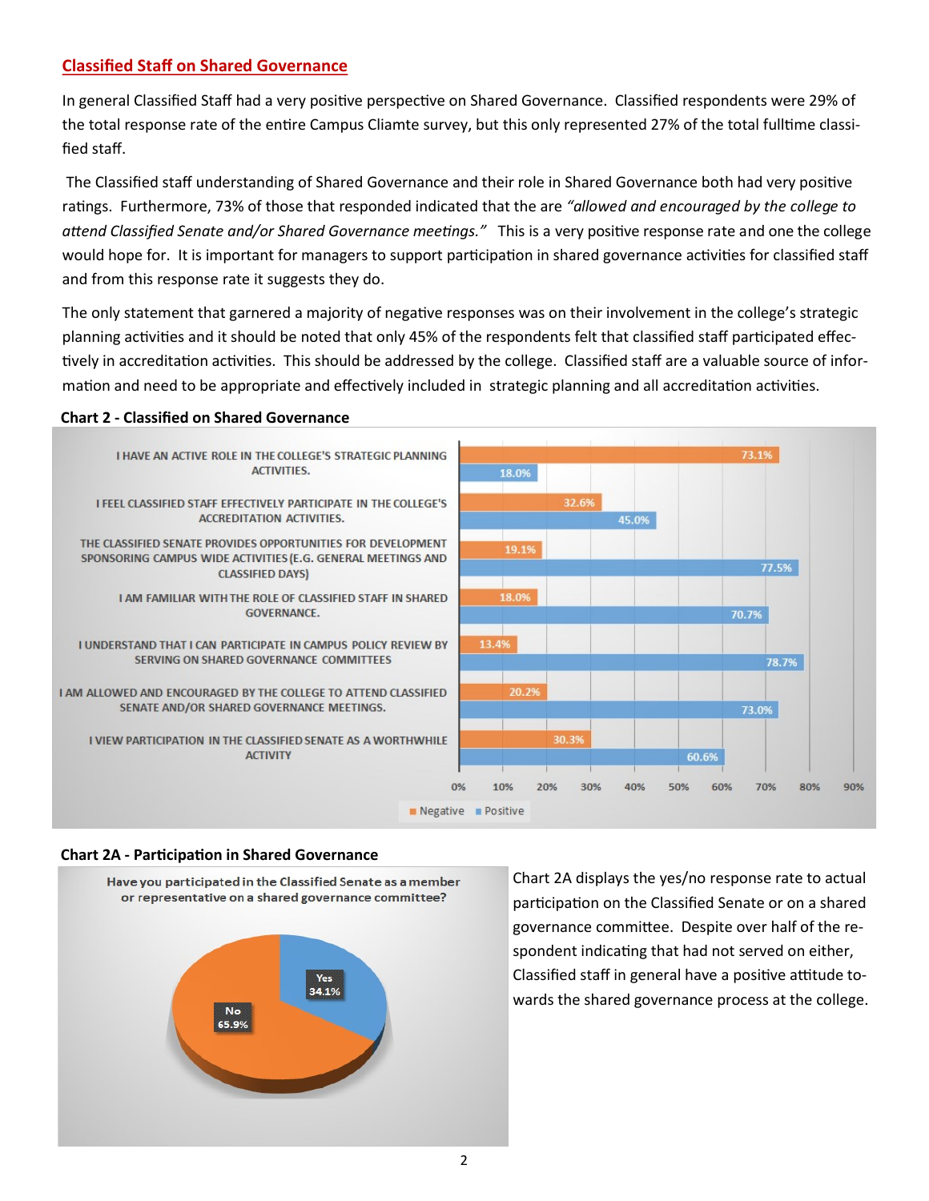# **Classified Staff on Shared Governance**

In general Classified Staff had a very positive perspective on Shared Governance. Classified respondents were 29% of the total response rate of the entire Campus Cliamte survey, but this only represented 27% of the total fulltime classified staff.

The Classified staff understanding of Shared Governance and their role in Shared Governance both had very positive ratings. Furthermore, 73% of those that responded indicated that the are *"allowed and encouraged by the college to attend Classified Senate and/or Shared Governance meetings."* This is a very positive response rate and one the college would hope for. It is important for managers to support participation in shared governance activities for classified staff and from this response rate it suggests they do.

The only statement that garnered a majority of negative responses was on their involvement in the college's strategic planning activities and it should be noted that only 45% of the respondents felt that classified staff participated effectively in accreditation activities. This should be addressed by the college. Classified staff are a valuable source of information and need to be appropriate and effectively included in strategic planning and all accreditation activities.

### **Chart 2 - Classified on Shared Governance**



### **Chart 2A - Participation in Shared Governance**



Chart 2A displays the yes/no response rate to actual participation on the Classified Senate or on a shared governance committee. Despite over half of the respondent indicating that had not served on either, Classified staff in general have a positive attitude towards the shared governance process at the college.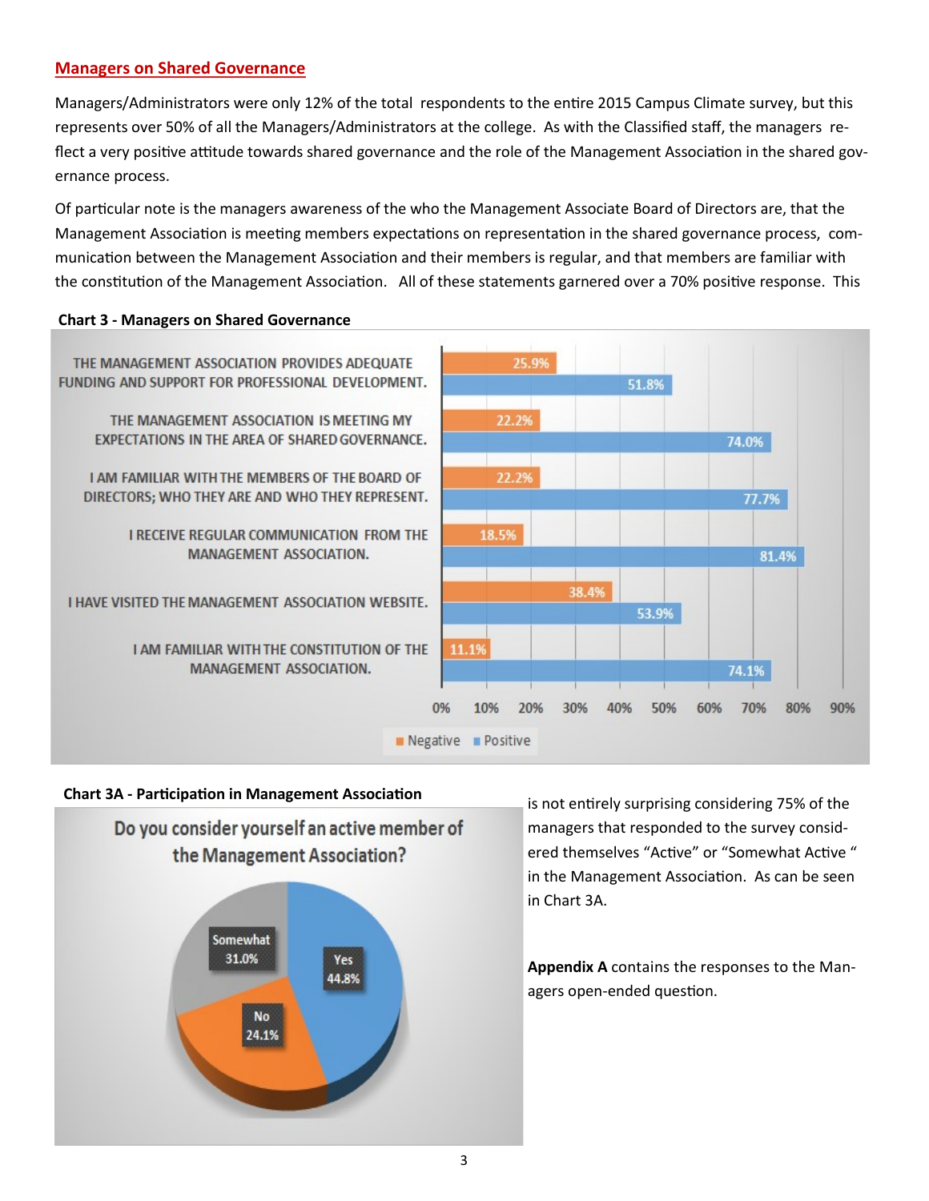### **Managers on Shared Governance**

Managers/Administrators were only 12% of the total respondents to the entire 2015 Campus Climate survey, but this represents over 50% of all the Managers/Administrators at the college. As with the Classified staff, the managers reflect a very positive attitude towards shared governance and the role of the Management Association in the shared governance process.

Of particular note is the managers awareness of the who the Management Associate Board of Directors are, that the Management Association is meeting members expectations on representation in the shared governance process, communication between the Management Association and their members is regular, and that members are familiar with the constitution of the Management Association. All of these statements garnered over a 70% positive response. This

### **Chart 3 - Managers on Shared Governance**



### **Chart 3A - Participation in Management Association**



is not entirely surprising considering 75% of the managers that responded to the survey considered themselves "Active" or "Somewhat Active " in the Management Association. As can be seen in Chart 3A.

**Appendix A** contains the responses to the Managers open-ended question.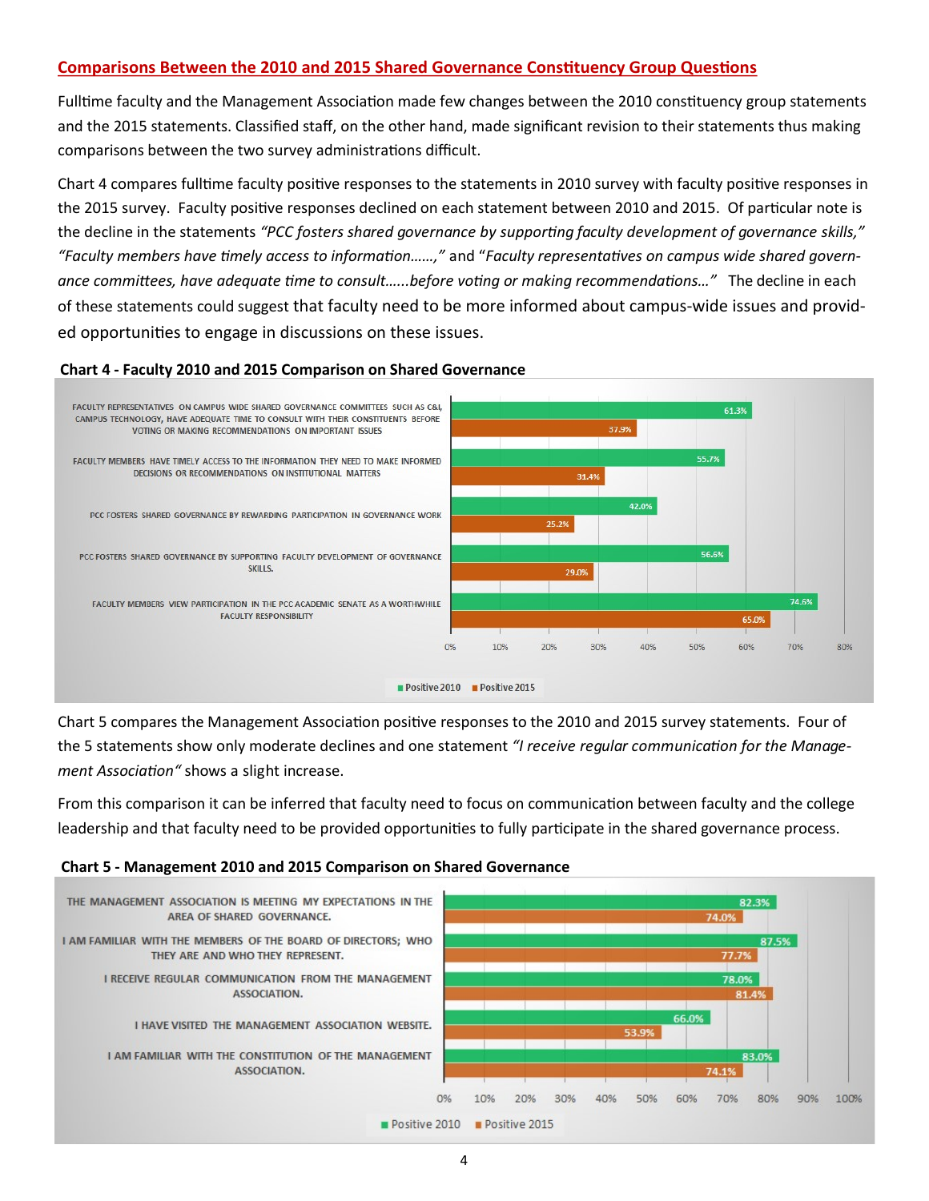# **Comparisons Between the 2010 and 2015 Shared Governance Constituency Group Questions**

Fulltime faculty and the Management Association made few changes between the 2010 constituency group statements and the 2015 statements. Classified staff, on the other hand, made significant revision to their statements thus making comparisons between the two survey administrations difficult.

Chart 4 compares fulltime faculty positive responses to the statements in 2010 survey with faculty positive responses in the 2015 survey. Faculty positive responses declined on each statement between 2010 and 2015. Of particular note is the decline in the statements *"PCC fosters shared governance by supporting faculty development of governance skills," "Faculty members have timely access to information……,"* and "*Faculty representatives on campus wide shared governance committees, have adequate time to consult…...before voting or making recommendations…"* The decline in each of these statements could suggest that faculty need to be more informed about campus-wide issues and provided opportunities to engage in discussions on these issues.



### **Chart 4 - Faculty 2010 and 2015 Comparison on Shared Governance**

Chart 5 compares the Management Association positive responses to the 2010 and 2015 survey statements. Four of the 5 statements show only moderate declines and one statement *"I receive regular communication for the Management Association"* shows a slight increase.

From this comparison it can be inferred that faculty need to focus on communication between faculty and the college leadership and that faculty need to be provided opportunities to fully participate in the shared governance process.

### **Chart 5 - Management 2010 and 2015 Comparison on Shared Governance**